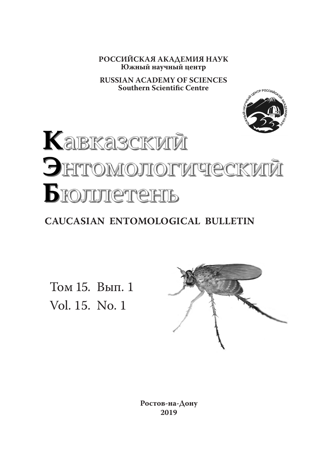**РОССИЙСКАЯ АКАДЕМИЯ НАУК Южный научный центр**

**RUSSIAN ACADEMY OF SCIENCES Southern Scientific Centre**



# **Кавказский** Энтомологический Бюлитетень

## **CAUCASIAN ENTOMOLOGICAL BULLETIN**

Том 15. Вып. 1 Vol. 15. No. 1



**Ростов-на-Дону 2019**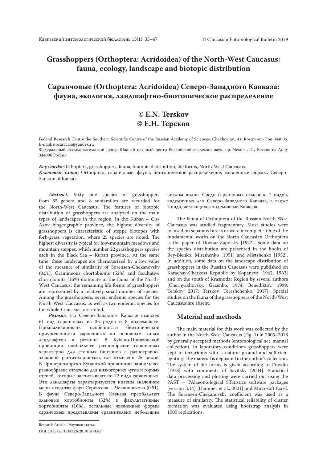## **Grasshoppers (Orthoptera: Acridoidea) of the North-West Caucasus: fauna, ecology, landscape and biotopic distribution**

## **Саранчовые (Orthoptera: Acridoidea) Северо-Западного Кавказа: фауна, экология, ландшафтно-биотопическое распределение**

## **© E.N. Terskov © Е.Н. Терсков**

Federal Research Centre the Southern Scientific Centre of the Russian Academy of Sciences, Chekhov av., 41, Rostov-on-Don 344006. E-mail: nocaracris@yandex.ru

Федеральный исследовательский центр Южный научный центр Российской академии наук, пр. Чехова, 41, Ростов-на-Дону 344006 Россия

*Key words:* Orthoptera, grasshoppers, fauna, biotopic distribution, life forms, North-West Caucasus. *Ключевые слова:* Orthoptera, саранчовые, фауна, биотопическое распределение, жизненные формы, Северо-Западный Кавказ.

*Abstract***.** Sixty one species of grasshoppers from 35 genera and 8 subfamilies are recorded for the North-West Caucasus. The features of biotopic distribution of grasshoppers are analyzed on the main types of landscapes in the region. In the Kuban – Cis-Azov biogeographic province, the highest diversity of grasshoppers is characteristic of steppe biotopes with forb-grass vegetation, where 25 species are noted. The highest diversity is typical for low-mountain meadows and mountain steppes, which number 22 grasshoppers species each in the Black Sea - Kuban province. At the same time, these landscapes are characterized by a low value of the measure of similarity of Sørensen-Chekanovsky (0.51). Gramineous chortobionts (52%) and facultative chortobionts (16%) dominate in the fauna of the North-West Caucasus, the remaining life forms of grasshoppers are represented by a relatively small number of species. Among the grasshoppers, seven endemic species for the North-West Caucasus, as well as two endemic species for the whole Caucasus, are noted.

*Резюме.* На Северо-Западном Кавказе выявлен 61 вид саранчовых из 35 родов и 8 подсемейств. Проанализированы особенности биотопической приуроченности саранчовых по основным типам ландшафтов в регионе. В Кубано-Приазовской провинции наибольшее разнообразие саранчовых характерно для степных биотопов с разнотравнозлаковой растительностью, где отмечено 25 видов. В Причерноморско-Кубанской провинции наибольшее разнообразие отмечено для низкогорных лугов и горных степей, которые насчитывают по 22 вида саранчовых. Эти ландшафты характеризуются низким значением меры сходства фаун Серенсена – Чекановского (0.51). В фауне Северо-Западного Кавказа преобладают злаковые хортобионты (52%) и факультативные хортобионты (16%), остальные жизненные формы саранчовых представлены сравнительно небольшим

числом видов. Среди саранчовых отмечено 7 видов, эндемичных для Северо-Западного Кавказа, а также 2 вида, являющихся эндемиками Кавказа.

The fauna of Orthoptera of the Russian North-West Caucasus was studied fragmentary. Most studies were focused on separated areas or were incomplete. One of the fundamental works on the North Caucasian Orthoptera is the paper of Dovnar-Zapolsky [1927]. Some data on the species distribution are presented in the books of Bey-Bienko, Mistshenko [1951] and Mistshenko [1952]. In addition, some data on the landscape distribution of grasshoppers in the Russian Caucasus were published on Karachay-Cherkess Republic by Kopaneva [1962, 1963] and on the south of Krasnodar Region by several authors [Chernyakhovsky, Gazenko, 1974; Benediktov, 1999; Terskov, 2017; Terskov, Tereshchenko, 2017]. Special studies on the fauna of the grasshoppers of the North-West Caucasus are absent.

#### **Material and methods**

The main material for this work was collected by the author in the North-West Caucasus (Fig. 1) in 2005–2018 by generally accepted methods (entomological net, manual collection). In laboratory conditions grasshoppers were kept in terrariums with a natural ground and sufficient lighting. The material is deposited in the author's collection. The system of life forms is given according to Pravdin [1978] with comments of Savitsky [2004]. Statistical data processing and plotting were carried out using the PAST – PAlaeontological STatistics software packages (version 3.14) [Hammer et al., 2001] and Microsoft Excel. The Sørensen-Chekanovsky coefficient was used as a measure of similarity. The statistical reliability of cluster formation was evaluated using bootstrap analysis in 1000 replications.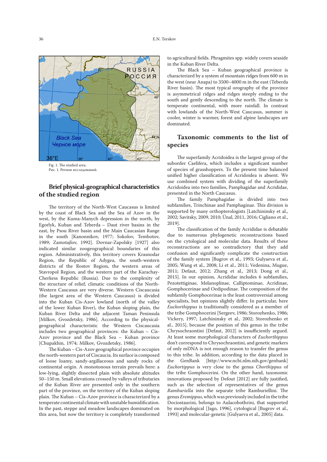

Рис. 1. Регион исследований.

## **Brief physical-geographical characteristics of the studied region**

The territory of the North-West Caucasus is limited by the coast of Black Sea and the Sea of Azov in the west, by the Kumа-Manych depression in the north, by Egorlyk, Kuban and Teberda – Daut river basins in the east, by Psou River basin and the Main Caucasian Range in the south [Kanonnikov, 1977; Sokolov, Tembotov, 1989; Zamotajlov, 1992]. Dovnar-Zapolsky [1927] also indicated similar zoogeographical boundaries of this region. Administratively, this territory covers Krasnodar Region, the Republic of Adygea, the south-western districts of the Rostov Region, the western areas of Stavropol Region, and the western part of the Karachay-Cherkess Republic (Russia). Due to the complexity of the structure of relief, climatic conditions of the North-Western Caucasus are very diverse. Western Ciscaucasia (the largest area of the Western Caucasus) is divided into the Kuban Cis-Azov lowland (north of the valley of the lower Kuban River), the Kuban sloping plain, the Kuban River Delta and the adjacent Taman Peninsula [Milkov, Gvozdetsky, 1986]. According to the physicalgeographical characteristic the Western Ciscaucasia includes two geographical provinces: the Kuban – Cis-Azov province and the Black Sea - Kuban province [Chupakhin, 1974; Milkov, Gvozdetsky, 1986].

The Kuban – Cis-Azov geographical province occupies the north-western part of Ciscaucia. Its surface is composed of loose loamy, sandy-argillaceous and sandy rocks of continental origin. A monotonous terrain prevails here: a low-lying, slightly dissected plain with absolute altitudes 50–150 m. Small elevations crossed by valleys of tributaries of the Kuban River are presented only in the southern part of the province, on the territory of the Kuban sloping plain. The Kuban – Cis-Azov province is characterized by a temperate continental climate with unstable humidification. In the past, steppe and meadow landscapes dominated on this area, but now the territory is completely transformed

to agricultural fields. Phragmites spp. widely covers seaside in the Kuban River Delta.

The Black Sea – Kuban geographical province is characterized by a system of mountain ridges from 600 m in the west (near Anapa) to 3500–4000 m in the east (Teberda River basin). The most typical orography of the province is asymmetrical ridges and ridges steeply ending to the south and gently descending to the north. The climate is temperate continental, with more rainfall. In contrast with lowlands of the North-West Caucasus, summer is cooler, winter is warmer, forest and alpine landscapes are dominated.

## **Taxonomic comments to the list of species**

The superfamily Acridoidea is the largest group of the suborder Caelifera, which includes a significant number of species of grasshoppers. To the present time balanced unified higher classification of Acridoidea is absent. We use combined system with dividing of the superfamily Acridoidea into two families, Pamphagidae and Acrididae, presented in the North Caucasus.

The family Pamphagidae is divided into two subfamilies, Trinchinae and Pamphaginae. This division is supported by many orthopterologists [Latchininsky et al., 2002; Savitsky, 2009, 2010; Ünal, 2011, 2016; Cigliano et al., 2019].

The classification of the family Acrididae is debatable due to numerous phylogenetic reconstructions based on the cytological and molecular data. Results of these reconstructions are so contradictory that they add confusion and significantly complicate the construction of the family system [Bugrov et al., 1993; Gulyaeva et al., 2005; Wang et al., 2008; Li et al., 2011; Vedenina, Mugue, 2011; Defaut, 2012; Zhang et al., 2013; Dong et al., 2015]. In our opinion, Acrididae includes 6 subfamilies, Pezotettiginae, Melanoplinae, Calliptominae, Acridinae, Gomphocerinae and Oedipodinae. The composition of the subfamily Gomphocerinae is the least controversial among specialists, but opinions slightly differ. In particular, here *Euchorthippus* is traditionally considered as a member of the tribe Gomphocerini [Sergeev, 1986; Storozhenko, 1986; Vickery, 1997; Latchininsky et al., 2002; Storozhenko et al., 2015], because the position of this genus in the tribe Chrysochraontini [Defaut, 2012] is insufficiently argued. At least some morphological characters of *Euchorthippus* don't correspond to Chrysochraontini, and genetic markers of only mDNA is not enough reason to transfer the genus to this tribe. In addition, according to the data placed in the GenBank [http://www.ncbi.nlm.nih.gov/genbank] *Euchortippus* is very close to the genus *Chorthippus* of the tribe Gomphocerini. On the other hand, taxonomic innovations proposed by Defout [2012] are fully justified, such as the selection of representatives of the genus *Ramburiella* into the separate tribe Ramburiellini. The genus *Eremippus*, which was previously included in the tribe Dociostaurini, belongs to Aulacobothrini, that supported by morphological [Jago, 1996], cytological [Bugrov et al., 1993] and molecular-genetic [Gulyaeva et al., 2005] data.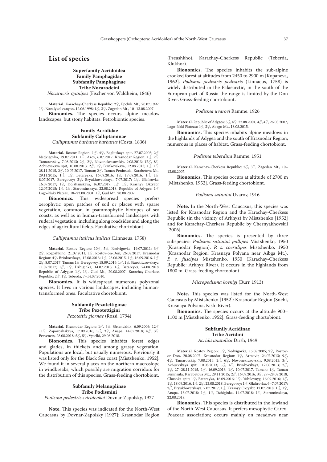#### **List of species**

#### **Superfamily Acridoidea Family Pamphagidae Subfamily Pamphaginae Tribe Nocarodeini** *Nocaracris cyanipes* (Fischer von Waldheim, 1846)

**Material.** Karachay-Cherkess Republic: 2♀, Epchik Mt., 20.07.1992; 1♀, Nazalykol canyon, 12.06.1998; 1♂, 3♀, Zagedan Mt., 10–13.08.2007. **Bionomics.** The species occurs alpine meadow landscapes, but stony habitats. Petrobiontic species.

#### **Family Acrididae Subfamily Calliptaminae** *Calliptamus barbarus barbarus* (Costa, 1836)

**Material.** Rostov Region: 1♂, 4♀, Beglitskaya spit, 27.07.2003; 2♂, Nedvigovka, 19.07.2011; 1♀, Azov, 6.07.2017. Krasnodar Region: 1♂, 2♀, Tamarovskiy, 7.08.2013; 2 $\circled{?}$ , 2 $\circled{>}$ , Novonekrasovskiy, 9.08.2013; 12 $\circled{>}$ , 8 $\circled{>}$ , Achuevskaya spit, 10.08.2013; 2♂, 1♀, Brinkovskaya, 12.08.2013; 1♂, 1♀, 28.11.2015,  $2\delta$ , 10.07.2017, Taman;  $2\delta$ , Taman Peninsula, Karabetova Mt., 29.11.2015; 1♂, 1♀, Batareyka, 16.09.2016; 1♀, 17.09.2016, 1♂, 1♀, 8.07.2017, Beregovoy; 2♀, Bryukhovetskaya, 7.07.2017; 1♀, Glafirovka, 16.07.2017; 1♀, Dolzhanskaya, 16.07.2017; 1♂, 1♀, Krasnyy Oktyabr, 12.07.2018; 1♂, 1♀, Starominskaya, 22.08.2018. Republic of Adygea: 1♂, Lago-Naki Plateau, 18–22.08.2001; 1♀, Gud Mt., 20.08.2007.

**Bionomics.** This widespread species prefers xerophytic open patches of soil or places with sparse vegetation, common in psammophytic biotopes of sea coasts, as well as in human-transformed landscapes with ruderal vegetation, including along roadsides and along the edges of agricultural fields. Facultative chortobiont.

#### *Calliptamus italicus italicus* (Linnaeus, 1758)

**Material.** Rostov Region: 10♂, 5♀, Nedvigovka, 19.07.2011; 3♂, 2♀, Rogozhkino, 21.07.2011; 1♀, Rostov-on-Don, 26.08.2017. Krasnodar Region: 4♀, Brinkovskaya, 12.08.2013; 1♂, 28.06.2015, 1♂, 16.09.2016, 1♂, 2♀, 8.07.2017, Taman; 1♀, Beregovoy, 18.09.2016; 1♂, 1♀, Starotitarovskaya, 11.07.2017; 1♂, 1♀, Dzhiginka, 14.07.2018; 1♂, Batareyka, 24.08.2018. Republic of Adygea:  $1\text{\o}$ ,  $1\text{\o}$ ,  $1\text{\o}$ , Gud Mt., 20.08.2007. Karachay-Cherkess Republic: 2♂, 1♀, Teberda, 7–14.07.2010.

**Bionomics.** It is widespread numerous polyzonal species. It lives in various landscapes, including humantransformed ones. Facultative chortobiont.

#### **Subfamily Pezotettiginae Tribe Pezotettigini** *Pezotettix giornae* (Rossi, 1794)

**Material.** Krasnodar Region: 1♂, 3♀, Gelendzhik, 6.09.2006; 12♂, 11♀, Zaporozhskaya, 17.09.2016; 5♂, 3♀, Anapa, 14.07.2018; 4♂, 3♀, Pervenets, 28.08.2018; 5♂, 5♀, Vyselki, 29.08.2018.

**Bionomics.** This species inhabits forest edges and glades, in thickets and among grassy vegetation. Populations are local, but usually numerous. Previously it was listed only for the Black Sea coast [Mistshenko, 1952]. We found it in several places on the northern macroslope in windbreaks, which possibly are migration corridors for the distribution of this species. Grass-feeding chortobiont.

#### **Subfamily Melanoplinae Tribe Podismini**

*Podisma pedestris sviridenkoi* Dovnar-Zapolsky, 1927

**Note.** This species was indicated for the North-West Caucasus by Dovnar-Zapolsky [1927]: Krasnodar Region (Pseashkho), Karachay-Cherkess Republic (Teberda, Klukhor).

**Bionomics.** The species inhabits the sub-alpine crooked forest at altitudes from 2450 to 2900 m [Kopaneva, 1962]. *Podisma pedestris pedestris* (Linnaeus, 1758) is widely distributed in the Palaearctic, in the south of the European part of Russia the range is limited by the Don River. Grass-feeding chortobiont.

#### *Podisma uvarovi* Ramme, 1926

**Material.** Republic of Adygea: 3♂, 4♀, 22.08.2001, 4♂, 4♀, 26.08.2007, Lago-Naki Plateau; 4♂, 3♀, Abago Mt., 18.08.2015.

**Bionomics.** This species inhabits alpine meadows in the highlands of Adygea and the south of Krasnodar Region; numerous in places of habitat. Grass-feeding chortobiont.

#### *Podisma teberdina* Ramme, 1951

**Material.** Karachay-Cherkess Republic: 2♂, 3♀, Zagedan Mt., 10– 13.08.2007.

**Bionomics.** This species occurs at altitude of 2700 m [Mistshenko, 1952]. Grass-feeding chortobiont.

#### *Podisma satunini* Uvarov, 1916

**Note.** In the North-West Caucasus, this species was listed for Krasnodar Region and the Karachay-Cherkess Republic (in the vicinity of Arkhyz) by Mistshenko [1952] and for Karachay-Cherkess Republic by Chernyakhovskii [2006].

**Bionomics.** The species is presented by three subspecies: *Podisma satunini pallipes* Mistshenko, 1950 (Krasnodar Region), *P. s. coerulipes* Mistshenko, 1950 (Krasnodar Region: Krasnaya Polyana near Aibga Mt.), *P. s. fuscipes* Mistshenko, 1950 (Karachay-Cherkess Republic: Arkhyz River). It occurs in the highlands from 1800 m. Grass-feeding chortobiont.

#### *Micropodisma koenigi* (Burr, 1913)

**Note.** This species was listed for the North-West Caucasus by Mistshenko [1952]: Krasnodar Region (Sochi, Krasnaya Polyana, Kishi River).

**Bionomics.** The species occurs at the altitude 900– 1100 m [Mistshenko, 1952]. Grass-feeding chortobiont.

#### **Subfamily Acridinae Tribe Acridini**

#### *Acrida anatolica* Dirsh, 1949

**Material.** Rostov Region: 1♀, Nedvigovka, 15.08.2005; 2♀, Rostovon-Don, 20.08.2007. Krasnodar Region: 1♀, Armavir, 24.07.2013; 9♂, 4♀, Tamarovskiy, 7.08.2013; 2♂, 6♀, Novonekrasovskiy, 9.08.2013; 3♂, Achuevskaya spit, 10.08.2013; 5 $\Im$ , 4 $\Im$ , Brinkovskaya, 12.08.2013; 2 $\Im$ , 1 $\varphi$ , 27–28.11.2015, 1 $\varphi$ , 16.09.2016, 1 $\varphi$ , 10.07.2017, Taman; 1 $\varphi$ , Taman Peninsula, Karabetova Mt., 29.11.2015; 2♂, 16.09.2016, 3♀, 27–28.08.2018, Chushka spit; 1♀, Batareyka, 16.09.2016; 1♀, Yubileynyy, 16.09.2016; 1♂, 1♀, 18.09.2016, 1♂, 2♀, 23.08.2018, Beregovoy; 1♂, Glafirovka, 6–7.07.2017; 2♂, Bryukhovetskaya, 7.07.2017; 1♂, Krasnyy Oktyabr, 12.07.2018; 1♂, 1♀, Anapa, 13.07.2018; 1♂, 1♀, Dzhiginka, 14.07.2018; 1♀, Starominskaya, 22.08.2018.

**Bionomics.** This species is distributed in the lowland of the North-West Caucasus. It prefers mesophytic Carex-Poaceae association; occurs mainly on meadows near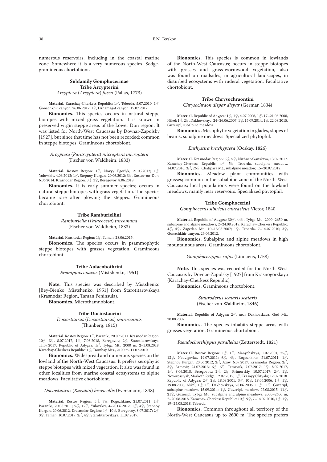numerous reservoirs, including in the coastal marine zone. Somewhere it is a very numerous species. Sedgegramineous chortobiont.

#### **Subfamily Gomphocerinae Tribe Arcypterini** *Arcyptera* (*Arcyptera*) *fusca* (Pallas, 1773)

**Material.** Karachay-Cherkess Republic: 1♂, Teberda, 5.07.2010; 1♂, Gonachkhir canyon, 26.06.2012; 1♀, Dzhamagat canyon, 15.07.2012.

**Bionomics.** This species occurs in natural steppe biotopes with mixed grass vegetation. It is known in preserved virgin steppe areas of the Lower Don region. It was listed for North-West Caucasus by Dovnar-Zapolsky [1927], but since that time has not been recorded; common in steppe biotopes. Gramineous chortobiont.

#### *Arcyptera* (*Pararcyptera*) *microptera microptera* (Fischer von Waldheim, 1833)

**Material.** Rostov Region: 1♀, Novyy Egorlyk, 21.05.2012; 1♂, Yulovskiy, 4.06.2012; 1♂, Stepnoy Kurgan, 20.06.2012; 3♀, Rostov-on-Don, 6.06.2014. Krasnodar Region: 3♂, 3♀, Beregovoy, 8.06.2018.

**Bionomics.** It is early summer species; occurs in natural steppe biotopes with grass vegetation. The species became rare after plowing the steppes. Gramineous chortobiont.

#### **Tribe Ramburiellini**

*Ramburiella* (*Palaeocesa*) *turcomana* (Fischer von Waldheim, 1833)

**Material.** Krasnodar Region: 1♀, Taman, 28.06.2015.

**Bionomics.** The species occurs in psammophytic steppe biotopes with grasses vegetation. Gramineous chortobiont.

#### **Tribe Aulacobothrini**

*Eremippus opacus* (Mistshenko, 1951)

**Note.** This species was described by Mistshenko [Bey-Bienko, Mistshenko, 1951] from Starotitarovskaya (Krasnodar Region, Taman Peninsula).

**Bionomics.** Microthamnobiont.

#### **Tribe Dociostaurini**

*Dociostaurus* (*Dociostaurus*) *maroccanus* (Thunberg, 1815)

**Material.** Rostov Region: 1♀, Baraniki, 20.09.2011. Krasnodar Region: 10♂, 3♀, 8.07.2017, 1♀, 7.06.2018, Beregovoy; 2♂, Starotitarovskaya, 11.07.2017. Republic of Adygea:  $1\text{ and } 7$ , Tybga Mt., 2000 m, 2–3.08.2018. Karachay-Cherkess Republic: 1♂, Dombay Mts., 2100 m, 11.07.2010.

**Bionomics.** Widespread and numerous species on the lowland of the North-West Caucasus. It prefers xerophytic steppe biotopes with mixed vegetation. It also was found in other localities from marine coastal ecosystems to alpine meadows. Facultative chortobiont.

#### *Dociostaurus* (*Kazakia*) *brevicollis* (Eversmann, 1848)

**Material.** Rostov Region: 5♂, 7♀, Rogozhkino, 21.07.2011; 1♂, Baraniki, 20.08.2011; 9♂, 12♀, Yulovskiy, 4–20.06.2012; 1♂, 4♀, Stepnoy Kurgan, 20.06.2012. Krasnodar Region: 4♂, 10♀, Beregovoy, 8.07.2017; 2♂, 3♀, Taman, 10.07.2017; 2♂, 4♀, Starotitarovskaya, 11.07.2017.

**Bionomics.** This species is common in lowlands of the North-West Caucasus; occurs in steppe biotopes with grasses and grass-wormwood vegetation, also was found on roadsides, in agricultural landscapes, in disturbed ecosystems with ruderal vegetation. Facultative chortobiont.

#### **Tribe Chrysochraontini**

*Chrysochraon dispar dispar* (Germar, 1834)

**Material.** Republic of Adygea: 1♂, 1♀, 4.07.2006, 1♂, 17–21.06.2008, Nikel; 1♂, 2♀, Dakhovskaya, 24–26.06.2007; 1♀, 15.09.2014, 1♀, 22.08.2015, Guzeripl, subalpine meadow.

**Bionomics.** Mesophytic vegetation in glades, slopes of beams, subalpine meadows. Specialized phytophil.

*Euthystira brachyptera* (Ocskay, 1826)

**Material.** Krasnodar Region: 5♂, 5♀, Nizhnebakanskaya, 13.07.2017. Karachay-Cherkess Republic:  $4\text{ }3$ ,  $5\text{ }2$ , Teberda, subalpine meadow, 14.07.2010; 3♂, 26♀, Chatipara Mt., subalpine meadow, 15–20.07.2012.

**Bionomics.** Meadow plant communities with grasses; common in the subalpine zone of the North-West Caucasus; local populations were found on the lowland meadows, mainly near reservoirs. Specialized phytophil.

#### **Tribe Gomphocerini**

*Gomphocerus sibiricus caucasicus* Victor, 1840

**Material.** Republic of Adygea: 30♂, 44♀, Tybga Mt., 2000–2650 m, subalpine and alpine meadows, 2–24.08.2018. Karachay-Cherkess Republic: 4♂, 4♀, Zagedan Mt., 10–13.08.2007; 1♀, Teberda, 7–14.07.2010; 3♀, Gonachkhir canyon, 26.06.2012.

**Bionomics.** Subalpine and alpine meadows in high mountainous areas. Gramineous chortobiont.

*Gomphocerippus rufus* (Linnaeus, 1758)

**Note.** This species was recorded for the North-West Caucasus by Dovnar-Zapolsky [1927] from Krasnogorskaya (Karachay-Cherkess Republic).

**Bionomics.** Gramineous chortobiont.

*Stauroderus scalaris scalaris* (Fischer von Waldheim, 1846)

**Material.** Republic of Adygea: 2♂, near Dakhovskaya, Gud Mt., 20.08.2007.

**Bionomics.** The species inhabits steppe areas with grasses vegetation. Gramineous chortobiont.

#### *Pseudochorthippus parallelus* (Zetterstedt, 1821)

**Material.** Rostov Region: 1♂, 1♀, Manychskaya, 1.07.2001; 25♂, 13♀, Nedvigovka, 19.07.2011; 6♂, 4♀, Rogozhkino, 21.07.2011; 1♂, Stepnoy Kurgan, 20.06.2012; 2♂, Azov, 6.07.2017. Krasnodar Region: 2♂, 3♀, Armavir, 24.07.2013; 6♂, 6♀, Temryuk, 7.07.2017; 1♀, 8.07.2017, 1♂, 8.06.2018, Beregovoy,; 2♂, 2♀, Primorskiy, 10.07.2017; 2♂, 1♀, Novorossiysk, Markoth Ridge, 12.07.2017; 1♂, Krasnyy Oktyabr, 12.07.2018. Republic of Adygea:  $2\text{C}$ ,  $2\text{C}$ ,  $18.08.2001$ ,  $3\text{C}$ ,  $10\text{C}$ ,  $18.06.2006$ ,  $1\text{C}$ ,  $1\text{C}$ , 19.08.2006, Nikel; 1♂, 1♀, Dakhovskaya, 28.06.2006; 11♂, 11♀, Guzeripl, subalpine meadow, 15.09.2014; 1♀, Guzeripl, meadow, 22.08.2015; 11 $\delta$ , 21♀, Guzeripl, Tybga Mt., subalpine and alpine meadows, 2000–2600 m, 2–20.08.2018. Karachay-Cherkess Republic: 10♂, 9♀, 7–14.07.2010, 1♂, 1♀, 19–25.08.2018, Teberda.

**Bionomics.** Common throughout all territory of the North-West Caucasus up to 2600 m. The species prefers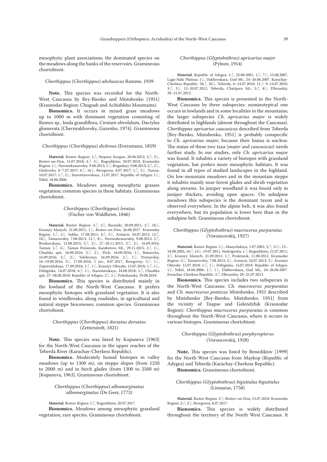mesophytic plant associations; the dominated species on the meadows along the banks of the reservoirs. Gramineous chortobiont.

#### *Chorthippus* (*Сhorthippus*) *abchasicus* Ramme, 1939

**Note.** This species was recorded for the North-West Caucasus by Bey-Bienko and Mistshenko [1951] (Krasnodar Region: Chugush and Achishkho Mountains).

**Bionomics.** It occurs in mixed grass meadows up to 1000 m with dominant vegetation consisting of Rumex sp., Inula grandiflora, Cirsium obvolalum, Dactylus glomerata [Chernyakhovsky, Gazenko, 1974]. Gramineous chortobiont.

#### *Chorthippus* (*Сhorthippus*) *dichrous* (Eversmann, 1859)

**Material.** Rostov Region: 1♂, Stepnoy Kurgan, 20.06.2012; 2♂, 3♀, Rostov-on-Don, 15.07.2018; 4♂, 5♀, Rogozhkino, 20.07.2018. Krasnodar Region: 1♀, Novonekrasovskiy, 9.08.2013; 1♂, Brigadnyy, 9.08.2013; 2♂, 2♀, Glafirovka, 6–7.07.2017; 6♂, 16♀, Beregovoy, 8.07.2017; 1♂, 3♀, Taman, 10.07.2017; 1 $\circ$ , 2 $\circ$ , Starotitarovskaya, 11.07.2017. Republic of Adygea: 1 $\circ$ , Nikel, 18.06.2006.

**Bionomics.** Meadows among mesophytic grasses vegetation; common species in these habitats. Gramineous chortobiont.

#### *Chorthippus* (*Сhorthippus*) *loratus* (Fischer von Waldheim, 1846)

**Material.** Rostov Region: 3♂, 2♀, Baraniki, 20.09.2011; 2♂, 18♀, Krasnyy Manych, 21.09.2011; 1♀, Rostov-on-Don, 26.08.2017. Krasnodar Region: 1♂, 2♀, Sukko, 17.08.2011; 4♂, 5♀, Armavir, 24.07.2013; 12♂, 18♀, Tamarovskiy, 7.08.2013; 12♂, 8♀, Novonekrasovskiy, 9.08.2013; 2♂, Brinkovskaya, 12.08.2013;  $2\hat{O}$ ,  $2\hat{V}$ , 27–28.11.2015,  $2\hat{O}$ ,  $2\hat{V}$ , 16.09.2016, Taman; 1♂, 4♀, Taman Peninsula, Karabetova Mt., 29.11.2015; 2♂, 1♀, Chushka spit, 16.09.2016; 2♂, 2♀, Il'ich, 16.09.2016; 1♂, Batareyka, 16.09.2016; 2♂, 2♀, Yubileynyy, 16.09.2016; 2♂, 1♀, Primorskiy, 16–19.09.2016; 3♀, 17.09.2016, 1 juv., 8.07.2017, Beregovoy; 2♂, 1♀, Zaporozhskaya, 17.09.2016; 1♂, 1♀, Krasnyy Oktyabr, 12.07.2018; 1♂, 1♀, Dzhiginka, 14.07.2018; 6♂, 1♀, Starominskaya, 24.08.2018; 1♂, Chushka spit, 27–28.08.2018. Republic of Adygea: 2♂, 1♀, Prikubansky, 29.08.2018.

**Bionomics.** This species is distributed mainly in the lowland of the North-West Caucasus. It prefers mesophytic biotopes with grassland vegetation. It is also found in windbreaks, along roadsides, in agricultural and natural steppe biocenoses; common species. Gramineous chortobiont.

#### *Chorthippus* (*Сhorthippus*) *dorsatus dorsatus* (Zetterstedt, 1821)

Note. This species was listed by Kopaneva [1963] for the North-West Caucasus in the upper reaches of the Teberda River (Karachay-Cherkess Republic).

**Bionomics.** Moderately humid biotopes in valley meadows (up to 1300 m), on steppe slopes (from 1250 to 2000 m) and in birch glades (from 1300 to 2500 m) [Kopaneva, 1963]. Gramineous chortobiont.

#### *Chorthippus* (*Сhorthippus*) *albomarginatus albomarginatus* (De Geer, 1773)

**Material.** Rostov Region: 1♂, Rogozhkino, 20.07.2017.

**Bionomics.** Meadows among mesophytic grassland vegetation, rare species. Gramineous chortobiont.

#### *Chorthippus* (*Glyptobothrus*) *apricarius major* (Pylnov, 1914)

**Material.** Republic of Adygea: 1♂, 22.08.2001, 1♂, 7♀, 15.08.2007, Lago-Naki Plateau; 1♀, Dakhovskaya, Gud Mt., 24–26.06.2007. Karachay-Cherkess Republic: 34♂, 26♀, Teberda, 6–14.07.2010; 11♂, 9–14.07.2010, 3♂, 3♀, 12–20.07.2012, Teberda, Chatipara Mt.; 5♂, 8♀, Elbrusskiy, 20–21.07.2013.

**Bionomics.** This species is presented in the North-West Caucasus by three subspecies: nominotypical one occurs in lowlands and in some localities in the mountains; the larger subspecies *Ch. apricarius major* is widely distributed in highlands (almost throughout the Caucasus). *Chorthippus apricarius caucasicus* described from Teberda [Bey-Bienko, Mistshenko, 1951] is probably conspecific to *Ch. apricarius major*, because their hiatus is unclear. The status of these two taxa (*major* and *caucasicus*) needs further study. In our studies, only *Ch. apricarius major* was found. It inhabits a variety of biotopes with grassland vegetation, but prefers more mesophytic habitats. It was found in all types of studied landscapes in the highland. On low-mountain meadows and in the mountain steppe it inhabits mainly near-forest glades and shrub vegetation along streams. In juniper woodland it was found only in juniper thickets, avoiding open spaces. On subalpine meadows this subspecies is the dominant taxon and is observed everywhere. In the alpine belt, it was also found everywhere, but its population is lower here than in the subalpine belt. Gramineous chortobiont.

#### *Chorthippus* (*Glyptobothrus*) *macrocerus purpuratus* (Voroncovskij, 1927)

**Material.** Rostov Region: 1♀, Manychskaya, 1.07.2001; 5♂, 11♀, 15– 18.08.2005, 16♂, 14♀, 19.07.2011, Nedvigovka; 1♂, Rogozhkino, 21.07.2011; 2♂, Krasnyy Manych, 21.09.2011; 1♂, Proletarsk, 11.08.2012. Krasnodar Region: 5♀, Tamarovskiy, 7.08.2013; 2♀, Armavir, 24.07.2013; 3♀, Krasnyy Oktyabr, 12.07.2018; 1♂, 1♀, Dzhiginka, 14.07.2018. Republic of Adygea: 1♀, Nikel, 18.06.2006; 1♂, 1♀, Dakhovskaya, Gud Mt., 24–26.06.2007. Karachay-Cherkess Republic: 2♂, Elbrusskiy, 20–21.07.2013.

**Bionomics.** This species includes two subspecies in the North-West Caucasus: *Ch. macrocerus purpuratus* and *Ch. macrocerus ponticus* Mistshenko, 1951 described by Mistshenko [Bey-Bienko, Mistshenko, 1951] from the vicinity of Tuapse and Gelendzhik (Krasnodar Region). *Chorthippus macrocerus purpuratus* is common throughout the North-West Caucasus, where it occurs in various biotopes. Gramineous chortobiont.

#### *Chorthippus* (*Glyptobothrus*) *porphyropterus* (Voroncovskij, 1928)

**Note.** This species was listed by Benediktov [1999] for the North-West Caucasus from Maykop (Republic of Adygea) and Teberda (Karachay-Cherkess Republic). **Bionomics.** Gramineous chortobiont.

#### *Chorthippus* (*Glyptobothrus*) *biguttulus biguttulus* (Linnaeus, 1758)

**Material.** Rostov Region: 2♂, Rostov-on-Don, 15.07.2018. Krasnodar Region: 2♂, 2♀, Beregovoy, 8.07.2017.

**Bionomics.** This species is widely distributed throughout the territory of the North West Caucasus. It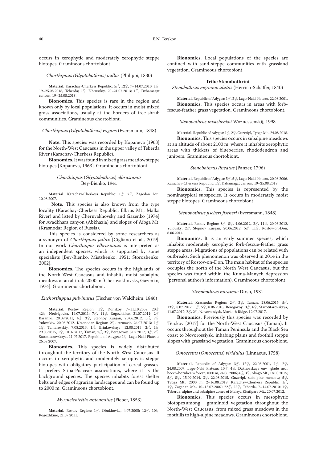occurs in xerophytic and moderately xerophytic steppe biotopes. Gramineous chortobiont.

#### *Chorthippus (Glyptobothrus) pullus* (Philippi, 1830)

**Material.** Karachay-Cherkess Republic: 5♂, 12♀, 7–14.07.2010, 1♀, 19–25.08.2018, Teberda; 1♀, Elbrusskiy, 20–21.07.2013; 1♀, Dzhamagat canyon, 19–25.08.2018.

**Bionomics.** This species is rare in the region and known only by local populations. It occurs in moist mixed grass associations, usually at the borders of tree-shrub communities. Gramineous chortobiont.

#### *Chorthippus (Glyptobothrus) vagans* (Eversmann, 1848)

**Note.** This species was recorded by Kopaneva [1963] for the North-West Caucasus in the upper valley of Teberda River (Karachay-Cherkess Republic).

**Bionomics.** It was found in mixed grass meadow steppe biotopes [Kopaneva, 1963]. Gramineous chortobiont.

#### *Chorthippus* (*Glyptobothrus*) *elbrusianus* Bey-Bienko, 1941

**Material.** Karachay-Cherkess Republic: 1♂, 2♀, Zagedan Mt., 10.08.2007.

**Note.** This species is also known from the type locality (Karachay-Cherkess Republic, Elbrus Mt., Malka River) and listed by Chernyakhovsky and Gazenko [1974] for Avadkhara canyon (Abkhazia) and slopes of Aibga Mt. (Krasnodar Region of Russia).

This species is considered by some researchers as a synonym of *Chorthippus fallax* [Cigliano et al., 2019]. In our work *Chorthippus elbrusianus* is interpreted as an independent species, which is supported by some specialists [Bey-Bienko, Mistshenko, 1951; Storozhenko, 2002].

**Bionomics.** The species occurs in the highlands of the North-West Caucasus and inhabits moist subalpine meadows at an altitude 2000 m [Chernyakhovsky, Gazenko, 1974]. Gramineous chortobiont.

#### *Euchorthippus pulvinatus* (Fischer von Waldheim, 1846)

**Material.** Rostov Region: 1♀, Donskoy, 7–11.10.2008; 20♂, 42♀, Nedvigovka, 19.07.2011; 7♂, 11♀, Rogozhkino, 21.07.2011; 2♂, Baraniki, 20.09.2011; 4♂, 3♀, Stepnoy Kurgan, 20.06.2012; 5♂, 7♀, Yulovskiy, 20.06.2012. Krasnodar Region: 2♀, Armavir, 24.07.2013; 1♂, 1♀, Tamarovskiy, 7.08.2013; 1♂, Brinkovskaya, 12.08.2013; 2♂, 1♀, 29.06.2015, 1♀, 10.07.2017, Taman; 2♂, 3♀, Beregovoy, 8.07.2017; 3♂, 2♀, Starotitarovskaya, 11.07.2017. Republic of Adygea: 1♀, Lago-Naki Plateau, 26.08.2007.

**Bionomics.** This species is widely distributed throughout the territory of the North West Caucasus. It occurs in xerophytic and moderately xerophytic steppe biotopes with obligatory participation of cereal grasses. It prefers Stipa-Poaceae associations, where it is the background species. The species inhabits forest shelter belts and edges of agrarian landscapes and can be found up to 2000 m. Gramineous chortobiont.

#### *Myrmeleotettix antennatus* (Fieber, 1853)

**Material.** Rostov Region: 1♂, Obukhovka, 4.07.2005; 12♂, 10♀, Rogozhkino, 21.07.2011.

**Bionomics.** Local populations of the species are confined with sand-steppe communities with grassland vegetation. Gramineous chortobiont.

#### **Tribe Stenobothrini**

*Stenobothrus nigromaculatus* (Herrich-Schäffer, 1840)

**Material.** Republic of Adygea: 1♂, 2♀, Lago-Naki Plateau, 22.08.2001. **Bionomics.** This species occurs in areas with forbfescue-feather grass vegetation. Gramineous chortobiont.

#### *Stenobothrus mistshenkoi* Woznessenskij, 1998

**Material.** Republic of Adygea: 1♂, 2♀, Guzeripl, Tybga Mt., 24.08.2018. **Bionomics.** This species occurs in subalpine meadows at an altitude of about 2100 m, where it inhabits xerophytic areas with thickets of blueberries, rhododendron and junipers. Gramineous chortobiont.

#### *Stenobothrus lineatus* (Panzer, 1796)

**Material.** Republic of Adygea: 5♂, 5♀, Lago-Naki Plateau, 20.08.2006. Karachay-Cherkess Republic: 1♀, Dzhamagat canyon, 19–25.08.2018.

**Bionomics.** This species is represented by the nominatypical subspecies. It occurs in moderately moist steppe biotopes. Gramineous chortobiont.

#### *Stenobothrus fischeri fischeri* (Eversmann, 1848)

**Material.** Rostov Region: 8♂, 8♀, 4.06.2012, 2♂, 11♀, 20.06.2012, Yulovsky; 2♂, Stepnoy Kurgan, 20.06.2012; 5♂, 11♀, Rostov-on-Don, 6.06.2014.

**Bionomics.** It is an early summer species, which inhabits moderately xerophytic forb-fescue-feather grass steppe areas. Migrations of populations can be related with outbreaks. Such phenomenon was observed in 2014 in the territory of Rostov-on-Don. The main habitat of the species occupies the north of the North West Caucasus, but the species was found within the Kuma-Manych depression (personal author's information). Gramineous chortobiont.

#### *Stenobothrus miramae* Dirsh, 1931

**Material.** Krasnodar Region: 2♂, 3♀, Taman, 28.06.2015; 5♂, 13 $\mathord{\text{\rm Q}}$ , 8.07.2017, 1 $\mathord{\text{\rm S}}$ , 5 $\mathord{\text{\rm Q}}$ , 8.06.2018, Beregovoy; 3 $\mathord{\text{\rm S}}$ , 6 $\mathord{\text{\rm Q}}$ , Starotitarovskaya, 11.07.2017; 2♂, 2♀, Novorossiysk, Markoth Ridge, 12.07.2017.

**Bionomics.** Previously this species was recorded by Terskov [2017] for the North-West Caucasus (Taman). It occurs throughout the Taman Peninsula and the Black Sea coast to Novorossiysk, inhabing plains and foothill steppe slopes with grassland vegetation. Gramineous chortobiont.

#### *Omocestus* (*Omocestus*) *viridulus* (Linnaeus, 1758)

**Material.** Republic of Adygea: 3♂, 12♀, 22.08.2001, 1♂, 2♀, 24.08.2007, Lago-Naki Plateau; 10♂, 4♀, Dakhovskaya env., glade near beech-hornbeam forest, 1000 m, 24.06.2006; 4♂, 3♀, Abago Mt., 18.08.2015; 5♂, 8♀, 15.09.2014, 3♀, 22.08.2015, Guzeripl, subalpine meadow; 5♀,  $T_{\rm v}$   $T_{\rm v}$   $T_{\rm v}$   $T_{\rm v}$   $T_{\rm v}$   $T_{\rm v}$   $T_{\rm v}$   $T_{\rm v}$   $T_{\rm v}$   $T_{\rm v}$   $T_{\rm v}$   $T_{\rm v}$   $T_{\rm v}$   $T_{\rm v}$   $T_{\rm v}$   $T_{\rm v}$   $T_{\rm v}$   $T_{\rm v}$   $T_{\rm v}$   $T_{\rm v}$   $T_{\rm v}$   $T_{\rm v}$   $T_{\rm v}$   $T_{\rm v}$   $T_{\rm$ 1♀, Zagedan Mt., 10–13.07.2007; 22♂, 22♀, Teberda, 7–14.07.2010; 1♀, Teberda, alpine and subalpine zones of Malaya Khatipara Mt., 20.07.2012.

**Bionomics.** This species occurs in mesophytic biotopes among graminoid vegetation throughout the North-West Caucasus, from mixed grass meadows in the foothills to high-alpine meadows. Gramineous chortobiont.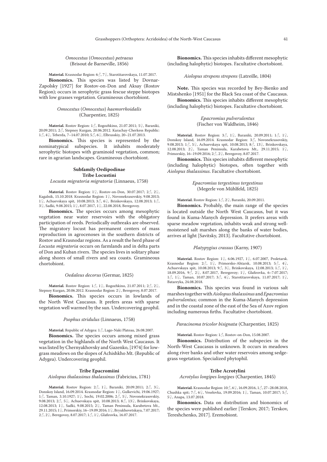*Omocestus* (*Omocestus*) *petraeus* (Brisout de Barneville, 1856)

**Material.** Krasnodar Region: 6♂, 7♀, Starotitarovskaya, 11.07.2017. **Bionomics.** This species was listed by Dovnar-Zapolsky [1927] for Rostov-on-Don and Aksay (Rostov Region); occurs in xerophytic grass fescue steppe biotopes with low grasses vegetation. Gramineous chortobiont.

#### *Omocestus* (*Omocestus*) *haemorrhoidalis* (Charpentier, 1825)

**Material.** Rostov Region: 1♂, Rogozhkino, 21.07.2011; 5♀, Baraniki, 20.09.2011; 2♂, Stepnoy Kurgan, 20.06.2012. Karachay-Cherkess Republic: 1♂, 4♀, Teberda, 7–14.07.2010; 5♂, 6♀, Elbrusskiy, 20–21.07.2013.

**Bionomics.** This species is represented by the nominatypical subspecies. It inhabits moderately xerophytic biotopes with graminoid vegetation, common; rare in agrarian landscapes. Gramineous chortobiont.

#### **Subfamily Oedipodinae Tribe Locustini**

*Locusta migratoria migratoria* (Linnaeus, 1758)

**Material.** Rostov Region: 1♀, Rostov-on-Don, 30.07.2017; 2♂, 2♀, Kagalnik, 15.10.2018. Krasnodar Region: 1♀, Novonekrasovskiy, 9.08.2013; 1♀, Achuevskaya spit, 10.08.2013; 3♂, 6♀, Brinkovskaya, 12.08.2013; 1♂, 3♀, Sadki, 9.08.2015; 1♀, 8.07.2017, 1♀, 22.08.2018, Beregovoy.

**Bionomics.** The species occurs among mesophytic vegetation near water reservoirs with the obligatory participation of reeds. Periodically outbreaks are observed. The migratory locust has permanent centers of mass reproduction in agrocenoses in the southern districts of Rostov and Krasnodar regions. As a result the herd phase of *Locusta migratoria* occurs on farmlands and in delta parts of Don and Kuban rivers. The species lives in solitary phase along shores of small rivers and sea coasts. Gramineous chortobiont.

#### *Oedaleus decorus* (Germar, 1825)

**Material.** Rostov Region: 1♂, 1♀, Rogozhkino, 21.07.2011; 2♂, 2♀, Stepnoy Kurgan, 20.06.2012. Krasnodar Region: 2♀, Beregovoy, 8.07.2017.

**Bionomics.** This species occurs in lowlands of the North West Caucasus. It prefers areas with sparse vegetation well warmed by the sun. Undercovering geophil.

#### *Psophus stridulus* (Linnaeus, 1758)

**Material.** Republic of Adygea: 1♂, Lago-Naki Plateau, 26.08.2007.

**Bionomics.** The species occurs among mixed grass vegetation in the highlands of the North West Caucasus. It was listed by Chernyakhovsky and Gazenko, [1974] for lowgrass meadows on the slopes of Achishkho Mt. (Republic of Adygea). Undercovering geophil.

#### **Tribe Epacromiini**

*Aiolopus thalassinus thalassinus* (Fabricius, 1781)

**Material.** Rostov Region: 2♂, 1♀, Baraniki, 20.09.2011; 2♂, 3♀, Donskoy Island, 16.09.2014. Krasnodar Region: 1♀, Gulkevichi, 19.06.1927; 1♂, Taman, 3.10.1927; 1♀, Sochi, 19.02.2006; 2♂, 5♀, Novonekrasovskiy, 9.08.2013; 2♂, 5♀, Achuevskaya spit, 10.08.2013; 8♂, 13♀, Brinkovskaya, 12.08.2013; 1♀, Sadki, 9.08.2015; 2♀, Taman Peninsula, Karabetova Mt., 29.11.2015; 1♀, Primorskiy, 16–19.09.2016; 1♀, Bryukhovetskaya, 7.07.2017; 2♂, 2♀, Beregovoy, 8.07.2017; 1♂, 1♀, Glafirovka, 16.07.2017.

**Bionomics.** This species inhabits different mesophytic (including halophytic) biotopes. Facultative chortobiont.

*Aiolopus strepens strepens* (Latreille, 1804)

**Note.** This species was recorded by Bey-Bienko and Mistshenko [1951] for the Black Sea coast of the Caucasus. **Bionomics.** This species inhabits different mesophytic (including halophytic) biotopes. Facultative chortobiont.

> *Epacromius pulverulentus* (Fischer von Waldheim, 1846)

**Material.** Rostov Region: 3♂, 1♀, Baraniki, 20.09.2011; 1♂, 1♀, Donskoy Island, 16.09.2014. Krasnodar Region: 3♂, Novonekrasovskiy, 9.08.2013; 1♂, 5♀, Achuevskaya spit, 10.08.2013; 8♂, 13♀, Brinkovskaya, 12.08.2013; 2♀, Taman Peninsula, Karabetova Mt., 29.11.2015; 1♀, Primorskiy, 16–19.09.2016; 2♂, 2♀, Beregovoy, 8.07.2017.

**Bionomics.** This species inhabits different mesophytic (including halophytic) biotopes, often together with *Aiolopus thalassinus*. Facultative chortobiont.

> *Epacromius tergestinus tergestinus* (Megerle von Mühlfeld, 1825)

**Material.** Rostov Region: 1♂, 2♀, Baraniki, 20.09.2011.

**Bionomics.** Probably, the main range of the species is located outside the North West Caucasus, but it was found in Kuma-Manych depression. It prefers areas with sparse meadow vegetation, inhabits weak and strong wellmoistened salt marshes along the banks of water bodies, arrives at light [Savitsky, 2013]. Facultative chortobiont.

#### *Platypygius crassus* (Karny, 1907)

**Material.** Rostov Region: 1♀, 6.06.1927, 1♀, 6.07.2007, Proletarsk. Krasnodar Region: 2♂, 1♀, Primorsko-Ahtarsk, 10.08.2013; 5♂, 4♀, Achuevskaya spit, 10.08.2013; 9♂, 3♀, Brinkovskaya, 12.08.2013; 1♂, 1♀, 18.09.2016, 9♂, 2♀, 8.07.2017, Beregovoy; 1♀, Glafirovka, 6–7.07.2017; 1♂, 1♀, Taman, 10.07.2017; 3♂, 4♀, Starotitarovskaya, 11.07.2017; 1♀, Batareyka, 24.08.2018.

**Bionomics.** This species was found in various salt marshes together with *Aiolopus thalassinus* and *Epacromius pulverulentus*; common in the Kuma-Manych depression and in the coastal zone of the east of the Sea of Azov region including numerous firths. Facultative chortobiont.

#### *Paracinema tricolor bisignata* (Charpentier, 1825)

**Material.** Rostov Region: 1♂, Rostov-on-Don, 15.08.2007.

**Bionomics.** Distribution of the subspecies in the North-West Caucasus is unknown. It occurs in meadows along river banks and other water reservoirs among sedgegrass vegetation. Specialized phytophil.

#### **Tribe Acrotylini**

*Acrotylus longipes longipes* (Charpentier, 1845)

**Material.** Krasnodar Region: 10♂, 6♀, 16.09.2016, 1♂, 27–28.08.2018, Chushka spit; 7♂, 6♀, Veselovka, 19.09.2016; 1♀, Taman, 10.07.2017; 5♂, 5♀, Anapa, 13.07.2018.

**Bionomics.** Data on distribution and bionomics of the species were published earlier [Terskov, 2017; Terskov, Tereshchenko, 2017]. Eremobiont.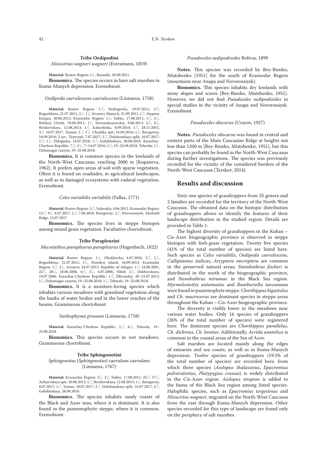*Mioscirtus wagneri wagneri* (Eversmann, 1859)

**Material.** Rostov Region: 1♀, Baraniki, 20.09.2011.

**Bionomics.** The species occurs in bare salt marshes in Kuma-Manych depression. Eremobiont.

#### *Oedipoda caerulescens caerulescens* (Linnaeus, 1758)

**Material.** Rostov Region: 1♂, Nedvigovka, 19.07.2011; 2♂, Rogozhkino, 21.07.2011; 2♂, 1♀, Krasnyy Manych, 21.09.2011; 1♂, Stepnoy Kurgan, 20.06.2012. Krasnodar Region: 1♀, Sukko, 17.08.2011; 1♂, 2♀, Bolshoy Utrish, 19.08.2011; 1♀, Novonekrasovskiy, 9.08.2013; 43 Brinkovskaya, 12.08.2013; 1♂, Kabardinka, 8.09.2014; 1♂, 28.11.2015, 3♂, 10.07.2017, Taman; 1♂, 1♀, Chushka spit, 16.09.2016; 1♀, Beregovoy, 18.09.2016; 3 juv., Temryuk, 7.07.2017; 1♂, Dolzhanskaya split, 16.07.2017; 1♂, 1♀, Dzhiginka, 14.07.2018; 1♂, Golubitskaya, 28.08.2018. Karachay-Cherkess Republic: 7♂, 2♀, 7–14.07.2010, 1♀, 19–25.08.2018, Teberda; 1♀, Dzhamagat canyon, 19–25.08.2018.

**Bionomics.** It is common species in the lowlands of the North-West Caucasus, reaching 2000 m [Kopaneva, 1962]. It prefers open areas of soil with sparse vegetation. Often it is found on roadsides, in agricultural landscapes, as well as in damaged ecosystems with ruderal vegetation. Eremobiont.

#### *Celes variabilis variabilis* (Pallas, 1771)

**Material.** Rostov Region: 5♂, Yulovskiy, 4.06.2012. Krasnodar Region: 13♂, 9♀, 8.07.2017, 1♂, 7.06.2018, Beregovoy; 2♂, Novorossiysk, Markoth Ridge, 12.07.2017.

**Bionomics.** The species lives in steppe biotopes among mixed grass vegetation. Facultative chortobiont.

#### **Tribe Parapleurini**

*Mecostethus parapleurus parapleurus* (Hagenbach, 1822)

**Material.** Rostov Region: 1♀, Obukhovka, 4.07.2005; 3♂, 1♀, Rogozhkino, 21.07.2011; 1♀, Donskoy Island, 16.09.2014. Krasnodar Region:  $1\hat{C}$ ,  $2\hat{C}$ , Armavir, 24.07.2013. Republic of Adygea:  $1\hat{C}$ , 18.08.2001, 22 $\vec{a}$ , 20 $\varphi$ , 18.06.2006, 6 $\vec{a}$ , 3 $\varphi$ , 4.07.2006, Nikel; 2 $\vec{a}$ , Dakhovskaya, 18.07.2006. Karachay-Cherkess Republic:  $1\vec{\diamond}$ , Elbrusskiy, 20–21.07.2013; 1♀, Dzhamagat canyon, 19–25.08.2018; 1♀, Teberda, 19–25.08.2018.

**Bionomics.** It is a moisture-loving species which inhabits various meadows with grassland vegetation along the banks of water bodies and in the lower reaches of the beams. Gramineous chortobiont.

#### *Stethophyma grossum* (Linnaeus, 1758)

**Material.** Karachay-Cherkess Republic: 1♂, 6♀, Teberda, 19– 25.08.2018.

**Bionomics.** This species occurs in wet meadows. Gramineous chortobiont.

#### **Tribe Sphingonotini**

*Sphingonotus* (*Sphingonotus*) *caerulans caerulans*  (Linnaeus, 1767)

**Material.** Krasnodar Region: 3♂, 2♀, Sukko, 17.08.2011; 25♂, 17♀, Achuevskaya spit, 10.08.2013; 1♂, Brinkovskaya, 12.08.2013; 1♀, Beregovoy, 8.07.2017; 1 $\beta$ , Taman, 10.07.2017; 2 $\beta$ , Dolzhanskaya split, 16.07.2017; 2 $\beta$ , Golubitskaya, 28.08.2018.

**Bionomics.** The species inhabits sandy coasts of the Black and Azov seas, where it is dominant. It is also found in the psammophytic steppe, where it is common. Eremobiont.

#### *Pseudoceles oedipodioides* Bolívar, 1899

**Notes.** This species was recorded by Bey-Bienko, Mistshenko [1951] for the south of Krasnodar Region (mountains near Anapa and Novorossiysk).

**Bionomics.** This species inhabits dry lowlands with stony slopes and screes [Bey-Bienko, Mistshenko, 1951]. However, we did not find *Pseudoceles oedipodioides* in special studies in the vicinity of Anapa and Novorossiysk. Eremobiont.

#### *Pseudoceles obscurus* (Uvarov, 1927)

**Notes.** *Pseudoceles obscurus* was found in central and eastern parts of the Main Caucasian Ridge at heights not less than 1200 m [Bey-Bienko, Mistshenko, 1951], but this species can probably be found in the North-West Caucasus during further investigations. The species was previously recorded for the vicinity of the considered borders of the North-West Caucasus [Terskov, 2014].

#### **Results and discussion**

Sixty one species of grasshoppers from 35 genera and 2 families are recorded for the territory of the North-West Caucasus. The obtained data on the biotopic distribution of grasshoppers allows to identify the features of their landscape distribution in the studied region. Details are provided in Table 1.

The highest diversity of grasshoppers in the Kuban – Cis-Azov biogeographic province is observed in steppe biotopes with forb-grass vegetation. Twenty five species (41% of the total number of species) are listed here. Such species as *Celes variabilis*, *Oedipoda caerulescens*, *Calliptamus italicus*, *Arcyptera microptera* are common in the preserved natural areas; *Stenobothrus fischeri* is distributed in the north of the biogeographic province, and *Stenobothrus miramae* in the Black Sea region. *Myrmeleotettix antennatus* and *Ramburiella turcomana* were found in psammophyte steppe. *Chorthippus biguttulus* and *Ch. macrocerus* are dominant species in steppe areas throughout the Kuban – Cis-Azov biogeographic province.

The diversity is visibly lower in the meadows near various water bodies. Only 16 species of grasshoppers (26% of the total number of species) were registered here. The dominant species are *Сhorthippus parallelus*, *Ch. dichrous*, *Ch. loratus*. Additionally, *Acrida anatolica* is common in the coastal areas of the Sea of Azov.

Salt marshes are located mainly along the edges of estuaries and sea coasts, as well as in Kuma-Manych depression. Twelve species of grasshoppers (19.5% of the total number of species) are recorded here, from which three species (*Aiolopus thalassinus*, *Epacromius pulverulentus*, *Platypygius crassus*) is widely distributed in the Cis-Azov region. *Aiolopus strepens* is added to the fauna of the Black Sea region among listed species. Halophilic species, such as *Epacromius tergestinus* and *Mioscirtus wagneri*, migrated on the North-West Caucasus from the east through Kuma-Manych depression. Other species recorded for this type of landscape are found only on the periphery of salt marshes.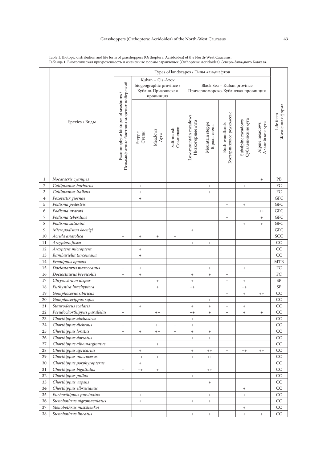|                | Species / Виды               | Types of landscapes / Типы ландшафтов                                         |                                                                                 |                                  |                                  |                                                                  |                                  |                                            |                                         |                                   |                              |
|----------------|------------------------------|-------------------------------------------------------------------------------|---------------------------------------------------------------------------------|----------------------------------|----------------------------------|------------------------------------------------------------------|----------------------------------|--------------------------------------------|-----------------------------------------|-----------------------------------|------------------------------|
|                |                              | Псаммофитные биотопы морских побережий<br>Psammophyte biotopes of seashores / | Kuban - Cis-Azov<br>biogeographic province /<br>Кубано-Приазовская<br>провинция |                                  |                                  | Black Sea - Kuban province<br>Причерноморско-Кубанская провинция |                                  |                                            |                                         |                                   |                              |
|                |                              |                                                                               | Steppe<br>Степи                                                                 | Meadows<br>Луга                  | Солончаки<br>Salt-marsh          | Low-mountain meadows<br>Низкогорные луга                         | Mountain steppe<br>Горная степь  | Кустарниковое редколесье<br>Bush woodlands | Субальпийские луга<br>Subalpine meadows | Альпийские луга<br>Alpine meadows | Жизненная форма<br>Life form |
| 1              | Nocaracris cyanipes          |                                                                               |                                                                                 |                                  |                                  |                                                                  |                                  |                                            |                                         | $\begin{array}{c} + \end{array}$  | PB                           |
| $\mathbf{2}$   | Calliptamus barbarus         | $^{+}$                                                                        | $\begin{array}{c} + \end{array}$                                                |                                  | $^{+}$                           |                                                                  | $^{+}$                           | $\begin{array}{c} + \end{array}$           | $^{+}$                                  |                                   | ${\rm FC}$                   |
| 3              | Calliptamus italicus         | $^{+}$                                                                        | $^+$                                                                            |                                  | $^{+}$                           |                                                                  | $^+$                             | $^+$                                       |                                         |                                   | ${\rm FC}$                   |
| $\overline{4}$ | Pezotettix giornae           |                                                                               | $\! + \!$                                                                       |                                  |                                  |                                                                  |                                  |                                            |                                         |                                   | <b>GFC</b>                   |
| 5              | Podisma pedestris            |                                                                               |                                                                                 |                                  |                                  |                                                                  |                                  | $\begin{array}{c} + \end{array}$           | $^{+}$                                  |                                   | <b>GFC</b>                   |
| 6              | Podisma uvarovi              |                                                                               |                                                                                 |                                  |                                  |                                                                  |                                  |                                            |                                         | $++$                              | ${\rm GFC}$                  |
| 7              | Podisma teberdina            |                                                                               |                                                                                 |                                  |                                  |                                                                  |                                  | $\begin{array}{c} + \end{array}$           |                                         | $^{+}$                            | ${\rm GFC}$                  |
| 8              | Podisma satunini             |                                                                               |                                                                                 |                                  |                                  |                                                                  |                                  |                                            | $^{+}$                                  | $^{+}$                            | GFC                          |
| 9              | Micropodisma koenigi         |                                                                               |                                                                                 |                                  |                                  | $^+$                                                             |                                  |                                            |                                         |                                   | GFC                          |
| 10             | Acrida anatolica             | $^+$                                                                          | $^+$                                                                            | $^+$                             | $\begin{array}{c} + \end{array}$ |                                                                  |                                  |                                            |                                         |                                   | SCC                          |
| 11             | Arcyptera fusca              |                                                                               |                                                                                 |                                  |                                  | $^+$                                                             | $^+$                             | $^+$                                       |                                         |                                   | $\cal CC$                    |
| 12             | Arcyptera microptera         |                                                                               | $^+$                                                                            |                                  |                                  |                                                                  |                                  |                                            |                                         |                                   | $\cal CC$                    |
| 13             | Ramburiella turcomana        |                                                                               | $^+$                                                                            |                                  |                                  |                                                                  |                                  |                                            |                                         |                                   | CC                           |
| 14             | Eremippus opacus             |                                                                               |                                                                                 |                                  | $\begin{array}{c} + \end{array}$ |                                                                  |                                  |                                            |                                         |                                   | $\operatorname{MTB}$         |
| 15             | Dociostaurus maroccanus      | $+$                                                                           | $\begin{array}{c} + \end{array}$                                                |                                  |                                  |                                                                  | $\begin{array}{c} + \end{array}$ |                                            | $^{+}$                                  |                                   | ${\rm FC}$                   |
| 16             | Dociostaurus brevicollis     | $^{+}$                                                                        | $\begin{array}{c} + \end{array}$                                                |                                  |                                  | $^{+}$                                                           | $\begin{array}{c} + \end{array}$ | $^+$                                       |                                         |                                   | FC                           |
| 17             | Chrysochraon dispar          |                                                                               |                                                                                 | $\! + \!$                        |                                  | $\ddot{}$                                                        |                                  | $\! + \!$                                  | $^{+}$                                  |                                   | SP                           |
| 18             | Euthystira brachyptera       |                                                                               |                                                                                 | $^{+}$                           |                                  | $++$                                                             |                                  |                                            | $++$                                    |                                   | ${\rm SP}$                   |
| 19             | Gomphocerus sibiricus        |                                                                               |                                                                                 |                                  |                                  |                                                                  |                                  | $\qquad \qquad +$                          | $^{+}$                                  | $++$                              | CC                           |
| 20             | Gomphocerippus rufus         |                                                                               |                                                                                 |                                  |                                  |                                                                  | $^+$                             |                                            |                                         |                                   | CC                           |
| 21             | Stauroderus scalaris         |                                                                               | $\begin{array}{c} + \end{array}$                                                |                                  |                                  | $\begin{array}{c} + \end{array}$                                 | $+$                              | $^+$                                       | $^{+}$                                  |                                   | CC                           |
| 22             | Pseudochorthippus parallelus | $^{+}$                                                                        |                                                                                 | $++$                             |                                  | $++$                                                             | $\! + \!$                        | $^+$                                       | $^{+}$                                  | $^{+}$                            | CC                           |
| 23             | Chorthippus abchasicus       |                                                                               |                                                                                 |                                  |                                  | $\begin{array}{c} + \end{array}$                                 |                                  |                                            |                                         |                                   | CC                           |
| 24             | Chorthippus dichrous         | $^+$                                                                          |                                                                                 | $+ +$                            | $^+$                             | $\begin{array}{c} + \end{array}$                                 |                                  |                                            |                                         |                                   | CC                           |
| 25             | Chorthippus loratus          | $^+$                                                                          | $^+$                                                                            | $+ +$                            | $\begin{array}{c} + \end{array}$ | $\begin{array}{c} + \end{array}$                                 | $\qquad \qquad +$                |                                            |                                         |                                   | CC                           |
| 26             | Chorthippus dorsatus         |                                                                               |                                                                                 |                                  |                                  | $^+$                                                             | $\qquad \qquad +$                | $^+$                                       |                                         |                                   | $\rm CC$                     |
| 27             | Chorthippus albomarginatus   |                                                                               |                                                                                 |                                  |                                  |                                                                  |                                  |                                            |                                         |                                   | CC                           |
| 28             | Chorthippus apricarius       |                                                                               | $\begin{array}{c} + \end{array}$                                                |                                  |                                  | $+$                                                              | $+ +$                            | $\begin{array}{c} + \end{array}$           | $+ +$                                   | $++$                              | $\cal CC$                    |
| 29             | Chorthippus macrocerus       |                                                                               | $^{++}$                                                                         | $\begin{array}{c} + \end{array}$ |                                  | $\begin{array}{c} + \end{array}$                                 | $+ +$                            | $^{+}$                                     |                                         |                                   | $\cal CC$                    |
| 30             | Chorthippus porphyropterus   |                                                                               | $^+$                                                                            |                                  |                                  |                                                                  |                                  |                                            |                                         |                                   | CC                           |
| 31             | Chorthippus biguttulus       | $+$                                                                           | $+ +$                                                                           | $^+$                             |                                  |                                                                  | $++$                             |                                            |                                         |                                   | CC                           |
| 32             | Chorthippus pullus           |                                                                               |                                                                                 |                                  |                                  | $^+$                                                             |                                  |                                            |                                         |                                   | CC                           |
| 33             | Chorthippus vagans           |                                                                               |                                                                                 |                                  |                                  |                                                                  | $\qquad \qquad +$                |                                            |                                         |                                   | $\rm CC$                     |
| 34             | Chorthippus elbrusianus      |                                                                               |                                                                                 |                                  |                                  |                                                                  |                                  |                                            | $^{+}$                                  |                                   | CC                           |
| 35             | Euchorthippus pulvinatus     |                                                                               | $^{+}$                                                                          |                                  |                                  |                                                                  | $^{+}$                           |                                            | $^{+}$                                  |                                   | CC                           |
| 36             | Stenobothrus nigromaculatus  |                                                                               | $\begin{array}{c} + \end{array}$                                                |                                  |                                  | $^+$                                                             | $\begin{array}{c} + \end{array}$ |                                            |                                         |                                   | $\cal CC$                    |
| 37             | Stenobothrus mistshenkoi     |                                                                               |                                                                                 |                                  |                                  |                                                                  |                                  |                                            | $^{+}$                                  |                                   | CC                           |
| 38             | Stenobothrus lineatus        |                                                                               |                                                                                 |                                  |                                  | $^{\mathrm{+}}$                                                  | $^+$                             |                                            | $^{+}$                                  | $\qquad \qquad +$                 | $\rm CC$                     |

Table 1. Biotopic distribution and life form of grasshoppers (Orthoptera: Acridoidea) of the North-West Caucasus. Таблица 1. Биотопическая приуроченность и жизненные формы саранчовых (Orthoptera: Acridoidea) Северо-Западного Кавказа.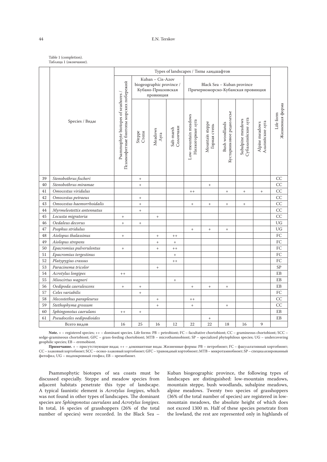| Table 1 (completion).  |
|------------------------|
| Таблица 1 (окончание). |

|             | Species / Виды            | Types of landscapes / Типы ландшафтов                                         |                                                                                 |                          |                         |                                                                  |                                  |                                            |                                         |                                   |                              |
|-------------|---------------------------|-------------------------------------------------------------------------------|---------------------------------------------------------------------------------|--------------------------|-------------------------|------------------------------------------------------------------|----------------------------------|--------------------------------------------|-----------------------------------------|-----------------------------------|------------------------------|
|             |                           |                                                                               | Kuban - Cis-Azov<br>biogeographic province /<br>Кубано-Приазовская<br>провинция |                          |                         | Black Sea - Kuban province<br>Причерноморско-Кубанская провинция |                                  |                                            |                                         |                                   |                              |
|             |                           | Псаммофитные биотопы морских побережий<br>Psammophyte biotopes of seashores / | Steppe<br>Степи                                                                 | Meadows<br>$\Lambda$ уга | Солончаки<br>Salt-marsh | Low-mountain meadows<br>Низкогорные луга                         | Mountain steppe<br>Горная степь  | Кустарниковое редколесье<br>Bush woodlands | Субальпийские луга<br>Subalpine meadows | Альпийские луга<br>Alpine meadows | Жизненная форма<br>Life form |
| 39          | Stenobothrus fischeri     |                                                                               | $\begin{array}{c} + \end{array}$                                                |                          |                         |                                                                  |                                  |                                            |                                         |                                   | CC                           |
| 40          | Stenobothrus miramae      |                                                                               | $^{+}$                                                                          |                          |                         |                                                                  | $\begin{array}{c} + \end{array}$ |                                            |                                         |                                   | CC                           |
| 41          | Omocestus viridulus       |                                                                               |                                                                                 |                          |                         | $++$                                                             |                                  | $^{+}$                                     | $^{+}$                                  | $\qquad \qquad +$                 | CC                           |
| 42          | Omocestus petraeus        |                                                                               | $\begin{array}{c} + \end{array}$                                                |                          |                         |                                                                  |                                  |                                            |                                         |                                   | CC                           |
| 43          | Omocestus haemorrhoidalis |                                                                               | $\! + \!$                                                                       |                          |                         | $\begin{array}{c} + \end{array}$                                 | $^{+}$                           | $^+$                                       | $^+$                                    |                                   | CC                           |
| 44          | Myrmeleotettix antennatus |                                                                               | $^{+}$                                                                          |                          |                         |                                                                  |                                  |                                            |                                         |                                   | CC                           |
| 45          | Locusta migratoria        | $^{+}$                                                                        |                                                                                 | $^{+}$                   |                         |                                                                  |                                  |                                            |                                         |                                   | CC                           |
| 46          | Oedaleus decorus          | $\ddot{}$                                                                     | $^{+}$                                                                          |                          |                         |                                                                  |                                  |                                            |                                         |                                   | UG                           |
| 47          | Psophus stridulus         |                                                                               |                                                                                 |                          |                         | $+$                                                              | $\begin{array}{c} + \end{array}$ | $\qquad \qquad +$                          |                                         |                                   | UG                           |
| 48          | Aiolopus thalassinus      | $^{+}$                                                                        |                                                                                 |                          | $+ +$                   |                                                                  |                                  |                                            |                                         |                                   | FC                           |
| 49          | Aiolopus strepens         |                                                                               |                                                                                 | $^{+}$                   | $\boldsymbol{+}$        |                                                                  |                                  |                                            |                                         |                                   | FC                           |
| 50          | Epacromius pulverulentus  | $^{+}$                                                                        |                                                                                 | $^{+}$                   | $++$                    |                                                                  |                                  |                                            |                                         |                                   | FC                           |
| 51          | Epacromius tergestinus    |                                                                               |                                                                                 |                          | $\ddot{}$               |                                                                  |                                  |                                            |                                         |                                   | FC                           |
| 52          | Platypygius crassus       |                                                                               |                                                                                 |                          | $++$                    |                                                                  |                                  |                                            |                                         |                                   | FC                           |
| 53          | Paracinema tricolor       |                                                                               |                                                                                 | $^+$                     |                         |                                                                  |                                  |                                            |                                         |                                   | <b>SP</b>                    |
| 54          | Acrotylus longipes        | $+ +$                                                                         |                                                                                 |                          |                         |                                                                  |                                  |                                            |                                         |                                   | EB                           |
| 55          | Mioscirtus wagneri        |                                                                               |                                                                                 |                          | $+$                     |                                                                  |                                  |                                            |                                         |                                   | EB                           |
| 56          | Oedipoda caerulescens     | $^{+}$                                                                        | $\! + \!$                                                                       |                          |                         | $^{+}$                                                           | $\! + \!$                        | $^+$                                       |                                         |                                   | EB                           |
| 57          | Celes variabilis          |                                                                               | $\! + \!$                                                                       |                          |                         |                                                                  |                                  |                                            |                                         |                                   | FC                           |
| 58          | Mecostethus parapleurus   |                                                                               |                                                                                 | $^{+}$                   |                         | $++$                                                             |                                  |                                            |                                         |                                   | CC                           |
| 59          | Stethophyma grossum       |                                                                               |                                                                                 | $^{+}$                   |                         | $^{+}$                                                           |                                  | $^+$                                       |                                         |                                   | CC                           |
| 60          | Sphingonotus caerulans    | $+ +$                                                                         | $\! + \!$                                                                       |                          |                         |                                                                  |                                  |                                            |                                         |                                   | EB                           |
| 61          | Pseudoceles oedipodioides |                                                                               |                                                                                 |                          |                         |                                                                  | $\begin{array}{c} + \end{array}$ |                                            |                                         |                                   | EB                           |
| Всего видов |                           | 16                                                                            | 25                                                                              | 16                       | 12                      | 22                                                               | 22                               | 18                                         | 16                                      | 9                                 |                              |

Note.  $+$  – registered species;  $++$  – dominant species. Life forms: PB – petrobiont; FC – facultative chortobiont; CC – gramineous chortobiont; SCC – sedge-gramineous chortobiont; GFC – grass-feeding chortobiont; MTB – microthamnobiont; SP – specialized phytophilous species; UG – undercovering geophilic species; EB – eremobiont.

**Примечание.** + – присутствующие виды; ++ – доминантные виды. Жизненные формы: PB – петробионт; FC – факультативный хортобионт; CC – злаковый хортобионт; SCC – осоко-злаковый хортобионт; GFC – травоядный хортобионт; MTB – микротамнобионт; SP – специализированный фитофил; UG – подпокровный геофил; EB – эремобионт.

Psammophytic biotopes of sea coasts must be discussed especially. Steppe and meadow species from adjacent habitats penetrate this type of landscape. A typical faunistic element is *Acrotylus longipes*, which was not found in other types of landscapes. The dominant species are *Sphingonotus caerulans* and *Acrotylus longipes*. In total, 16 species of grasshoppers (26% of the total number of species) were recorded. In the Black Sea –

Kuban biogeographic province, the following types of landscapes are distinguished: low-mountain meadows, mountain steppe, bush woodlands, subalpine meadows, alpine meadows. Twenty two species of grasshoppers (36% of the total number of species) are registered in lowmountain meadows, the absolute height of which does not exceed 1300 m. Half of these species penetrate from the lowland, the rest are represented only in highlands of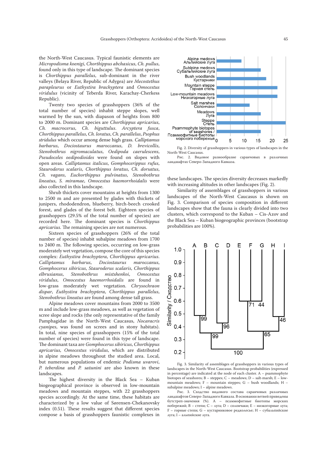the North-West Caucasus. Typical faunistic elements are *Micropodisma koenigi*, *Chorthippus abchasicus*, *Ch. pullus*, found only in this type of landscape. The dominant species is *Сhorthippus parallelus*, sub-dominant in the river valleys (Belaya River, Republic of Adygea) are *Mecostethus parapleurus* or *Euthystira brachyptera* and *Omocestus viridulus* (vicinity of Teberda River, Karachay-Cherkess Republic).

Twenty two species of grasshoppers (36% of the total number of species) inhabit steppe slopes, well warmed by the sun, with diapason of heights from 800 to 2000 m. Dominant species are *Chorthippus apricarius*, *Ch. macrocerus*, *Ch. biguttulus*. *Arcyptera fusca*, *Chorthippus parallelus*, *Ch. loratus*, *Ch. parallelus*, *Psophus stridulus* which occur among dense high grass. *Calliptamus barbarus*, *Dociostaurus maroccanus*, *D. brevicollis*, *Stenobothrus nigromaculatus*, *Oedipoda caerulescens*, *Pseudoceles oedipodioides* were found on slopes with open areas. *Calliptamus italicus*, *Gomphocerippus rufus*, *Stauroderus scalaris*, *Chorthippus loratus*, *Ch. dorsatus*, *Ch. vagans*, *Euchorthippus pulvinatus*, *Stenobothrus lineatus*, *S. miramae*, *Omocestus haemorrhoidalis* were also collected in this landscape.

Shrub thickets cover mountains at heights from 1300 to 2500 m and are presented by glades with thickets of junipers, rhododendron, blueberry, birch-beech crooked forest, and glades of the forest belt. Eighteen species of grasshoppers (29.5% of the total number of species) are recorded here. The dominant species is *Chorthippus apricarius*. The remaining species are not numerous.

Sixteen species of grasshoppers (26% of the total number of species) inhabit subalpine meadows from 1700 to 2400 m. The following species, occurring on low-grass moderately wet vegetation, compose the core of this species complex: *Euthystira brachyptera*, *Chorthippus apricarius*. *Calliptamus barbarus*, *Dociostaurus maroccanus*, *Gomphocerus sibiricus*, *Stauroderus scalaris*, *Chorthippus*   $Stenobothrus$ *viridulus*, *Omocestus haemorrhoidalis* are found in low-grass moderately wet vegetation. *Chrysochraon dispar*, *Euthystira brachyptera*, *Сhorthippus parallelus*, *Stenobothrus lineatus* are found among dense tall grass.

Alpine meadows cover mountains from 2000 to 3500 m and include low-grass meadows, as well as vegetation of scree slope and rocks (the only representative of the family Pamphagidae in the North-West Caucasus, *Nocaracris cyanipes*, was found on screes and in stony habitats). In total, nine species of grasshoppers (15% of the total number of species) were found in this type of landscape. The dominant taxa are *Gomphocerus sibiricus*, *Chorthippus apricarius*, *Omocestus viridulus*, which are distributed in alpine meadows throughout the studied area. Local, but numerous populations of endemic *Podisma uvarovi*, *P. teberdina* and *P. satunini* are also known in these landscapes.

The highest diversity in the Black Sea – Kuban biogeographical province is observed in low-mountain meadows and mountain steppes, with 22 grasshoppers species accordingly. At the same time, these habitats are characterized by a low value of Sørensen-Chekanovsky index (0.51). These results suggest that different species compose a basis of grasshoppers faunistic complexes in



Fig. 2. Diversity of grasshoppers in various types of landscapes in the North-West Caucasus.

Рис. 2. Видовое разнообразие саранчовых в различных ландшафтах Северо-Западного Кавказа.

these landscapes. The species diversity decreases markedly with increasing altitudes in other landscapes (Fig. 2).

Similarity of assemblages of grasshoppers in various landscapes of the North-West Caucasus is shown on Fig. 3. Comparison of species composition in different landscapes show that the fauna is clearly divided into two clusters, which correspond to the Kuban – Cis-Azov and the Black Sea – Kuban biogeographic provinces (bootstrap probabilities are 100%).



Fig. 3. Similarity of assemblages of grasshoppers in various types of landscapes in the North-West Caucasus. Bootstrap probabilities (expressed in percentage) are indicated at the node of each cluster. A – psammophyte biotopes of seashores; B – steppes; C – meadows; D – salt-marsh; E – lowmountain meadows; F – mountain steppes; G – bush woodlands; H – subalpine meadows; I – alpine meadows.

Рис. 3. Сходство видового состава саранчовых различных ландшафтов Северо-Западного Кавказа. В основании ветвей приведены бутстреп-значения (%). A – псаммофитные биотопы морских побережий; B – степи; C – луга; D – солончаки; E – низкогорные луга; F – горные степи; G – кустарниковое редколесье; H – субальпийские луга; I – альпийские луга.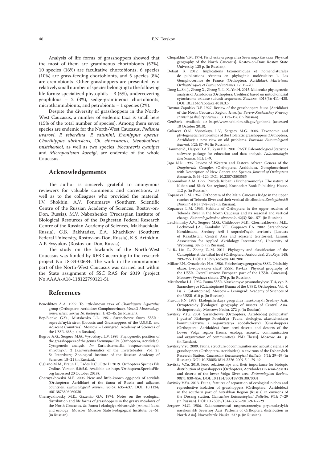Analysis of life forms of grasshoppers showed that the most of them are gramineous chortobionts (52%), 10 species (16%) are facultative chortobionts, 6 species (10%) are grass-feeding chortobionts, and 5 species (8%) are eremobionts. Other grasshoppers are presented by a relatively small number of species belonging to the following life forms: specialized phytophils – 3 (5%), undercovering geophilous – 2 (3%), sedge-gramineous chortobionts, microthamnobionts, and petrobionts – 1 species (2%).

Despite the diversity of grasshoppers in the North-West Caucasus, a number of endemic taxa is small here (15% of the total number of species). Among them seven species are endemic for the North-West Caucasus, *Podisma uvarovi*, *P. teberdina*, *P. satunini*, *Eremippus opacus*, *Chorthippus abchasicus*, *Ch. elbrusianus*, *Stenobothrus mistshenkoi*, as well as two species, *Nocaracris cyanipes* and *Micropodisma koenigi*, are endemic of the whole Caucasus.

#### **Acknowledgements**

The author is sincerely grateful to anonymous reviewers for valuable comments and corrections, as well as to the colleagues who provided the material: I.V. Shokhin, A.V. Ponomarev (Southern Scientific Centre of the Russian Academy of Sciences, Rostov-on-Don, Russia), M.V. Nabozhenko (Precaspian Institute of Biological Resources of the Daghestan Federal Research Centre of the Russian Academy of Sciences, Makhachkala, Russia), G.B. Bakhtadze, E.A. Khachikov (Southern Federal University, Rostov-on-Don, Russia), K.S. Artokhin, A.P. Evsyukov (Rostov-on-Don, Russia).

The study on the lowlands of the North-West Caucasus was funded by RFBR according to the research project No 18-34-00684. The work in the mountainous part of the North-West Caucasus was carried out within the State assignment of SSC RAS for 2019 (project No АААА-А18-118122790121-5).

#### **References**

- Benediktov A.A. 1999. To little-known taxa of *Chorthippus biguttulus* group (Orthoptera: Acrididae: Gomphocerinae). *Vestnik Moskovskogo universiteta. Seriya 16. Biologiya*. 1: 42–45. (in Russian).
- Bey-Bienko G.Ya., Mistshenko L.L. 1951. Saranchovye fauny SSSR i sopredel'nykh stran [Locusts and Grasshoppers of the U.S.S.R. and Adjacent Countries]. Moscow – Leningrad: Academy of Sciences of the USSR. 668 p. (in Russian).
- Bugrov A.G., Sergeev M.G., Vysotskaya L.V. 1993. Phylogenetic position of the grasshoppers of the genus *Eremippus* Uv. (Orthoptera, Acrididae). Cytogenetic analysis. *In:* Kariosistematika bespozvonochnykh zhivotnykh, 2 [Karyosystematics of the Invertebrates. Vol. 2]. St Petersburg: Zoological Institute of the Russian Academy of Sciences: 18–21 (in Russian).
- Cigliano M.M., Braun H., Eades D.C., Otte D. 2019. Orthoptera Species File Online. Version 5.0/5.0. Available at: http://Orthoptera.SpeciesFile. org (accessed 20 October 2018).
- Chernyakhovskii M.E. 2006. New and little-known egg-pods of acridids (Orthoptera: Acrididae) of the fauna of Russia and adjacent countries. *Entomological Review*. 86(6): 635–637. DOI: 10.1134/ s0013873806060030
- Chernyakhovsky M.E., Gazenko G.V. 1974. Notes on the ecological distribution and life forms of grasshoppers in the grassy meadows of the North Caucasus. *In:* Fauna i ekologiya zhivotnykh [Animal fauna and ecology]. Moscow: Moscow State Pedagogical Institute: 52–61. (in Russian).
- Chupakhin V.M. 1974. Fizicheskaya geografiya Severnogo Kavkaza [Physical geography of the North Caucasus]. Rostov-on-Don: Rostov State University. 125 p. (in Russian).
- Defaut B. 2012. Implications taxonomiques et nomenclaturales de publications récentes en phylogénie moléculaire: 1. Les Gomphocerinae de France (Orthoptera, Acrididae). *Matériaux Orthoptériques et Entomocénotiques*. 17: 15–20.
- Dong L., Shi J., Zhang X., Zhang Y., Li X., Yin H. 2015. Molecular phylogenetic analysis of Acridoidea (Orthoptera: Caelifera) based on mitochondrial cytochrome oxidase subunit sequences. *Zootaxa*. 4018(3): 411–425. DOI: 10.11646/zootaxa.4018.3.5
- Dovnar-Zapolsky D.P. 1927. Review of the grasshoppers fauna (Acrididae) of the North Caucasus Region. *Izvestiya Severo-Kavkazskoy Kraevoy stantsii zashchity rasteniy*. 3: 172–196 (in Russian).
- GenBank. Available at: http://www.ncbi.nlm.nih.gov/genbank (accessed 10 October 2018).
- Guliaeva O.N., Vysotskaya L.V., Sergeev M.G. 2005. Taxonomic and phylogenetic relationships of the Holarctic grasshoppers (Orthoptera, Acrididae): a new view on old problems. *Eurasian Entomological Journal*. 4(2): 87–94 (in Russian).
- Hammer Ø., Harper D.A.T., Ryan P.D. 2001. PAST: Paleontological Statistics software package for education and data analysis. *Palaeontologia Electronica*. 4(1): 1–9.
- Jago N.D. 1996. Review of Western and Eastern African Genera of the *Dnopherula* Complex (Orthoptera, Acridoidea, Gomphocerinae) with Description of New Genera and Species. *Journal of Orthoptera Research*. 5: 69–124. DOI: 10.2307/3503585
- Kanonnikov A.M. 1977. Priroda Kubani i Prichernomor'ya [The nature of Kuban and Black Sea regions]. Krasnodar: Book Publishing House. 112 p. (in Russian).
- Kopaneva L.M. 1962. Orthoptera of the Main Caucasus Ridge in the upper reaches of Teberda River and their vertical distribution. *Zoologicheskii zhurnal*. 41(3): 378–383 (in Russian).
- Kopaneva L.M. 1963. Habitats of Orthoptera in the upper reaches of Teberda River in the North Caucasus and its seasonal and vertical change. *Entomologicheskoe obozrenie*. 42(3): 564–571 (in Russian).
- Latchininsky A.V., Sergeev M.G., Childebaev M.K., Chernyakhovsky M.E., Lockwood J.A., Kambulin V.E., Gapparov F.A. 2002. Saranchovye Kazakhstana, Sredney Azii i sopredel'nykh territoriy [Locusts of Kazakhstan, Central Asia and adjacent territories]. Larami: Association for Applied Akridology International, University of Wyoming. 387 p. (in Russian).
- Li B., Liu Z., Zheng Z.-M. 2011. Phylogeny and classification of the Cantopidae at the tribal level (Orthoptera: Acridoidea). *ZooKeys*. 148: 209–255. DOI: 10.3897/zookeys.148.2081
- Milkov F.N., Gvozdetsky N.A. 1986. Fizicheskaya geografiya SSSR. Obshchiy obzor. Evropeyskaya chast' SSSR. Kavkaz [Physical geography of the USSR. Overall review. European part of the USSR. Caucasus]. Moscow: Vysshaya shkola. 376 p. (in Russian).
- Mistshenko L.L. 1952. Fauna SSSR. Nasekomyye pryamokrylyye. T. 4, vyp. 2. Saranchevyye (Catantopinae) [Fauna of the USSR. Orthoptera. Vol. 4, Iss. 2. Catantopinae]. Moscow – Leningrad: Academy of Sciences of the USSR. 610 p. (in Russian).
- Pravdin F.N. 1978. Ekologicheskaya geografiya nasekomykh Sredney Azii. Ortopteroidy [Ecological geography of insects of Central Asia. Orthopteroids]. Moscow: Nauka. 272 p. (in Russian).
- Savitsky V.Yu. 2004. Saranchovye (Orthoptera, Acridoidea) polupustyn' i pustyn' Nizhnego Povolzh'ya (Fauna, ekologiya, akusticheskaya kommunikatsiya i organizatsiya soobshchestv) (Orthoptera: Acridoidea) from semi-deserts and deserts of the Lower Volga region (fauna, ecology, acoustic communication and organization of communities). PhD Thesis]. Moscow. 441 p. (in Russian).
- Savitsky V.Yu. 2009. Fauna, structure of communities and acoustic signals of grasshoppers (Orthoptera, Acridoidea) in environs of the Dzhanybek Research Station. *Caucasian Entomological Bulletin*. 5(1): 29–49 (in Russian). DOI: 10.23885/1814-3326-2009-5-1-29-49
- Savitsky V.Yu. 2010. Food relationships and their importance for biotopic distribution of grasshoppers (Orthoptera, Acridoidea) in semi-deserts and deserts of the lower Volga River area. *Entomological Review*. 90(7): 830–856. DOI: 10.1134/S0013873810070031
- Savitsky V.Yu. 2013. Fauna, features of separation of ecological niches and reproductive isolation of grasshoppers (Orthoptera: Acridoidea) in the southern part of Astrakhan Region (Russia) in environs of the Dosang station. *Caucasian Entomological Bulletin*. 9(1): 7–29 (in Russian). DOI: 10.23885/1814-3326-2013-9-1-7-29
- Sergeev M.G. 1986. Zakonomernosti rasprostraneniya pryamokrylykh nasekomykh Severnoy Azii [Patterns of Orthoptera distribution in North Asia]. Novosibirsk: Nauka. 237 p. (in Russian).